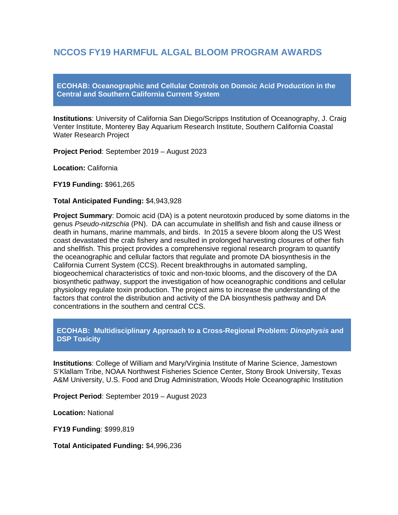# **NCCOS FY19 HARMFUL ALGAL BLOOM PROGRAM AWARDS**

**ECOHAB: Oceanographic and Cellular Controls on Domoic Acid Production in the Central and Southern California Current System**

**Institutions**: University of California San Diego/Scripps Institution of Oceanography, J. Craig Venter Institute, Monterey Bay Aquarium Research Institute, Southern California Coastal Water Research Project

**Project Period**: September 2019 – August 2023

**Location:** California

**FY19 Funding:** \$961,265

#### **Total Anticipated Funding:** \$4,943,928

**Project Summary**: Domoic acid (DA) is a potent neurotoxin produced by some diatoms in the genus *Pseudo-nitzschia* (PN). DA can accumulate in shellfish and fish and cause illness or death in humans, marine mammals, and birds. In 2015 a severe bloom along the US West coast devastated the crab fishery and resulted in prolonged harvesting closures of other fish and shellfish. This project provides a comprehensive regional research program to quantify the oceanographic and cellular factors that regulate and promote DA biosynthesis in the California Current System (CCS). Recent breakthroughs in automated sampling, biogeochemical characteristics of toxic and non-toxic blooms, and the discovery of the DA biosynthetic pathway, support the investigation of how oceanographic conditions and cellular physiology regulate toxin production. The project aims to increase the understanding of the factors that control the distribution and activity of the DA biosynthesis pathway and DA concentrations in the southern and central CCS.

# **ECOHAB: Multidisciplinary Approach to a Cross-Regional Problem:** *Dinophysis* **and DSP Toxicity**

**Institutions**: College of William and Mary/Virginia Institute of Marine Science, Jamestown S'Klallam Tribe, NOAA Northwest Fisheries Science Center, Stony Brook University, Texas A&M University, U.S. Food and Drug Administration, Woods Hole Oceanographic Institution

**Project Period**: September 2019 – August 2023

**Location:** National

**FY19 Funding**: \$999,819

**Total Anticipated Funding:** \$4,996,236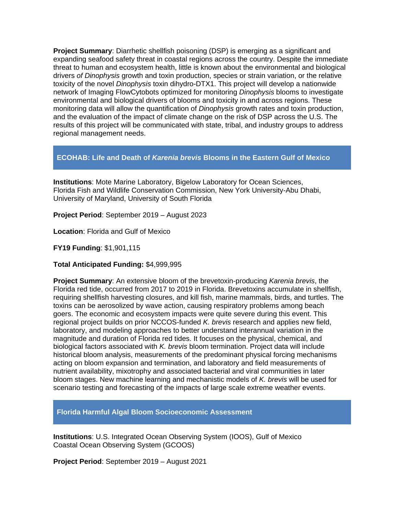**Project Summary**: Diarrhetic shellfish poisoning (DSP) is emerging as a significant and expanding seafood safety threat in coastal regions across the country. Despite the immediate threat to human and ecosystem health, little is known about the environmental and biological drivers *of Dinophysis* growth and toxin production, species or strain variation, or the relative toxicity of the novel *Dinophysis* toxin dihydro-DTX1. This project will develop a nationwide network of Imaging FlowCytobots optimized for monitoring *Dinophysis* blooms to investigate environmental and biological drivers of blooms and toxicity in and across regions. These monitoring data will allow the quantification of *Dinophysis* growth rates and toxin production, and the evaluation of the impact of climate change on the risk of DSP across the U.S. The results of this project will be communicated with state, tribal, and industry groups to address regional management needs.

# **ECOHAB: Life and Death of** *Karenia brevis* **Blooms in the Eastern Gulf of Mexico**

**Institutions**: Mote Marine Laboratory, Bigelow Laboratory for Ocean Sciences, Florida Fish and Wildlife Conservation Commission, New York University-Abu Dhabi, University of Maryland, University of South Florida

**Project Period**: September 2019 – August 2023

**Location**: Florida and Gulf of Mexico

**FY19 Funding**: \$1,901,115

# **Total Anticipated Funding:** \$4,999,995

**Project Summary**: An extensive bloom of the brevetoxin-producing *Karenia brevis*, the Florida red tide, occurred from 2017 to 2019 in Florida. Brevetoxins accumulate in shellfish, requiring shellfish harvesting closures, and kill fish, marine mammals, birds, and turtles. The toxins can be aerosolized by wave action, causing respiratory problems among beach goers. The economic and ecosystem impacts were quite severe during this event. This regional project builds on prior NCCOS-funded *K. brevis* research and applies new field, laboratory, and modeling approaches to better understand interannual variation in the magnitude and duration of Florida red tides. It focuses on the physical, chemical, and biological factors associated with *K. brevis* bloom termination. Project data will include historical bloom analysis, measurements of the predominant physical forcing mechanisms acting on bloom expansion and termination, and laboratory and field measurements of nutrient availability, mixotrophy and associated bacterial and viral communities in later bloom stages. New machine learning and mechanistic models of *K. brevis* will be used for scenario testing and forecasting of the impacts of large scale extreme weather events.

**Florida Harmful Algal Bloom Socioeconomic Assessment** 

**Institutions**: U.S. Integrated Ocean Observing System (IOOS), Gulf of Mexico Coastal Ocean Observing System (GCOOS)

**Project Period**: September 2019 – August 2021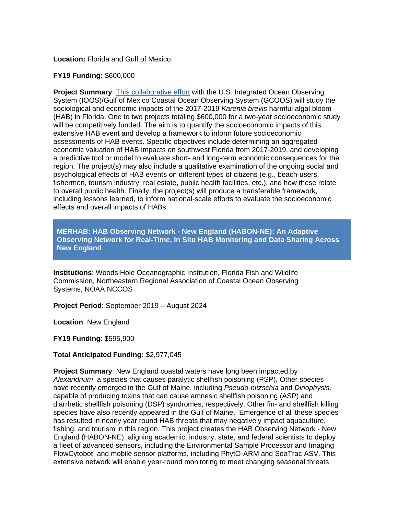### **Location:** Florida and Gulf of Mexico

### **FY19 Funding:** \$600,000

**Project Summary**: [This collaborative effort](https://coastalscience.noaa.gov/news/nccos-and-gcoos-soliciting-proposals-for-assessing-the-social-and-economic-impacts-of-florida-red-tide/) with the U.S. Integrated Ocean Observing System (IOOS)/Gulf of Mexico Coastal Ocean Observing System (GCOOS) will study the sociological and economic impacts of the 2017-2019 *Karenia brevis* harmful algal bloom (HAB) in Florida. One to two projects totaling \$600,000 for a two-year socioeconomic study will be competitively funded. The aim is to quantify the socioeconomic impacts of this extensive HAB event and develop a framework to inform future socioeconomic assessments of HAB events. Specific objectives include determining an aggregated economic valuation of HAB impacts on southwest Florida from 2017-2019, and developing a predictive tool or model to evaluate short- and long-term economic consequences for the region. The project(s) may also include a qualitative examination of the ongoing social and psychological effects of HAB events on different types of citizens (e.g., beach-users, fishermen, tourism industry, real estate, public health facilities, etc.), and how these relate to overall public health. Finally, the project(s) will produce a transferable framework, including lessons learned, to inform national-scale efforts to evaluate the socioeconomic effects and overall impacts of HABs.

**MERHAB: HAB Observing Network - New England (HABON-NE): An Adaptive Observing Network for Real-Time, In Situ HAB Monitoring and Data Sharing Across New England**

**Institutions**: Woods Hole Oceanographic Institution, Florida Fish and Wildlife Commission, Northeastern Regional Association of Coastal Ocean Observing Systems, NOAA NCCOS

**Project Period**: September 2019 – August 2024

**Location**: New England

**FY19 Funding**: \$595,900

# **Total Anticipated Funding:** \$2,977,045

**Project Summary**: New England coastal waters have long been impacted by *Alexandrium*, a species that causes paralytic shellfish poisoning (PSP). Other species have recently emerged in the Gulf of Maine, including *Pseudo-nitzschia* and *Dinophysis,*  capable of producing toxins that can cause amnesic shellfish poisoning (ASP) and diarrhetic shellfish poisoning (DSP) syndromes, respectively. Other fin- and shellfish killing species have also recently appeared in the Gulf of Maine. Emergence of all these species has resulted in nearly year round HAB threats that may negatively impact aquaculture, fishing, and tourism in this region. This project creates the HAB Observing Network - New England (HABON-NE), aligning academic, industry, state, and federal scientists to deploy a fleet of advanced sensors, including the Environmental Sample Processor and Imaging FlowCytobot, and mobile sensor platforms, including PhytO-ARM and SeaTrac ASV. This extensive network will enable year-round monitoring to meet changing seasonal threats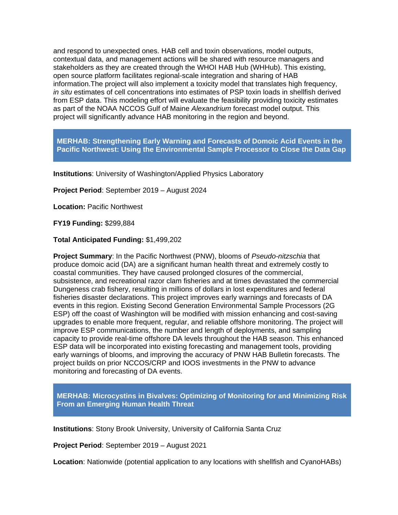and respond to unexpected ones. HAB cell and toxin observations, model outputs, contextual data, and management actions will be shared with resource managers and stakeholders as they are created through the WHOI HAB Hub (WHHub). This existing, open source platform facilitates regional-scale integration and sharing of HAB information.The project will also implement a toxicity model that translates high frequency, *in situ* estimates of cell concentrations into estimates of PSP toxin loads in shellfish derived from ESP data. This modeling effort will evaluate the feasibility providing toxicity estimates as part of the NOAA NCCOS Gulf of Maine *Alexandrium* forecast model output. This project will significantly advance HAB monitoring in the region and beyond.

**MERHAB: Strengthening Early Warning and Forecasts of Domoic Acid Events in the Pacific Northwest: Using the Environmental Sample Processor to Close the Data Gap**

**Institutions**: University of Washington/Applied Physics Laboratory

**Project Period**: September 2019 – August 2024

**Location:** Pacific Northwest

**FY19 Funding:** \$299,884

**Total Anticipated Funding:** \$1,499,202

**Project Summary**: In the Pacific Northwest (PNW), blooms of *Pseudo-nitzschia* that produce domoic acid (DA) are a significant human health threat and extremely costly to coastal communities. They have caused prolonged closures of the commercial, subsistence, and recreational razor clam fisheries and at times devastated the commercial Dungeness crab fishery, resulting in millions of dollars in lost expenditures and federal fisheries disaster declarations. This project improves early warnings and forecasts of DA events in this region. Existing Second Generation Environmental Sample Processors (2G ESP) off the coast of Washington will be modified with mission enhancing and cost-saving upgrades to enable more frequent, regular, and reliable offshore monitoring. The project will improve ESP communications, the number and length of deployments, and sampling capacity to provide real-time offshore DA levels throughout the HAB season. This enhanced ESP data will be incorporated into existing forecasting and management tools, providing early warnings of blooms, and improving the accuracy of PNW HAB Bulletin forecasts. The project builds on prior NCCOS/CRP and IOOS investments in the PNW to advance monitoring and forecasting of DA events.

**MERHAB: Microcystins in Bivalves: Optimizing of Monitoring for and Minimizing Risk From an Emerging Human Health Threat**

**Institutions**: Stony Brook University, University of California Santa Cruz

**Project Period**: September 2019 – August 2021

**Location**: Nationwide (potential application to any locations with shellfish and CyanoHABs)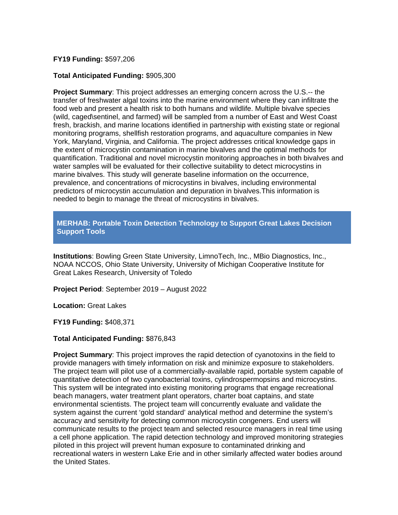### **FY19 Funding:** \$597,206

### **Total Anticipated Funding:** \$905,300

**Project Summary**: This project addresses an emerging concern across the U.S.-- the transfer of freshwater algal toxins into the marine environment where they can infiltrate the food web and present a health risk to both humans and wildlife. Multiple bivalve species (wild, caged\sentinel, and farmed) will be sampled from a number of East and West Coast fresh, brackish, and marine locations identified in partnership with existing state or regional monitoring programs, shellfish restoration programs, and aquaculture companies in New York, Maryland, Virginia, and California. The project addresses critical knowledge gaps in the extent of microcystin contamination in marine bivalves and the optimal methods for quantification. Traditional and novel microcystin monitoring approaches in both bivalves and water samples will be evaluated for their collective suitability to detect microcystins in marine bivalves. This study will generate baseline information on the occurrence, prevalence, and concentrations of microcystins in bivalves, including environmental predictors of microcystin accumulation and depuration in bivalves.This information is needed to begin to manage the threat of microcystins in bivalves.

**MERHAB: Portable Toxin Detection Technology to Support Great Lakes Decision Support Tools**

**Institutions**: Bowling Green State University, LimnoTech, Inc., MBio Diagnostics, Inc., NOAA NCCOS, Ohio State University, University of Michigan Cooperative Institute for Great Lakes Research, University of Toledo

**Project Period**: September 2019 – August 2022

**Location:** Great Lakes

**FY19 Funding:** \$408,371

#### **Total Anticipated Funding:** \$876,843

**Project Summary**: This project improves the rapid detection of cyanotoxins in the field to provide managers with timely information on risk and minimize exposure to stakeholders. The project team will pilot use of a commercially-available rapid, portable system capable of quantitative detection of two cyanobacterial toxins, cylindrospermopsins and microcystins. This system will be integrated into existing monitoring programs that engage recreational beach managers, water treatment plant operators, charter boat captains, and state environmental scientists. The project team will concurrently evaluate and validate the system against the current 'gold standard' analytical method and determine the system's accuracy and sensitivity for detecting common microcystin congeners. End users will communicate results to the project team and selected resource managers in real time using a cell phone application. The rapid detection technology and improved monitoring strategies piloted in this project will prevent human exposure to contaminated drinking and recreational waters in western Lake Erie and in other similarly affected water bodies around the United States.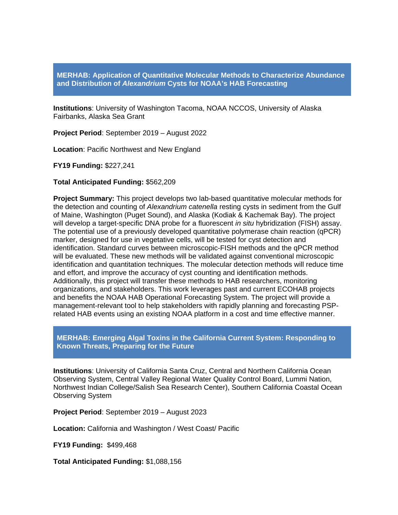**MERHAB: Application of Quantitative Molecular Methods to Characterize Abundance and Distribution of** *Alexandrium* **Cysts for NOAA's HAB Forecasting**

**Institutions**: University of Washington Tacoma, NOAA NCCOS, University of Alaska Fairbanks, Alaska Sea Grant

**Project Period**: September 2019 – August 2022

**Location**: Pacific Northwest and New England

**FY19 Funding:** \$227,241

**Total Anticipated Funding:** \$562,209

**Project Summary:** This project develops two lab-based quantitative molecular methods for the detection and counting of *Alexandrium catenella* resting cysts in sediment from the Gulf of Maine, Washington (Puget Sound), and Alaska (Kodiak & Kachemak Bay). The project will develop a target-specific DNA probe for a fluorescent *in situ* hybridization (FISH) assay. The potential use of a previously developed quantitative polymerase chain reaction (qPCR) marker, designed for use in vegetative cells, will be tested for cyst detection and identification. Standard curves between microscopic-FISH methods and the qPCR method will be evaluated. These new methods will be validated against conventional microscopic identification and quantitation techniques. The molecular detection methods will reduce time and effort, and improve the accuracy of cyst counting and identification methods. Additionally, this project will transfer these methods to HAB researchers, monitoring organizations, and stakeholders. This work leverages past and current ECOHAB projects and benefits the NOAA HAB Operational Forecasting System. The project will provide a management-relevant tool to help stakeholders with rapidly planning and forecasting PSPrelated HAB events using an existing NOAA platform in a cost and time effective manner.

### **MERHAB: Emerging Algal Toxins in the California Current System: Responding to Known Threats, Preparing for the Future**

**Institutions**: University of California Santa Cruz, Central and Northern California Ocean Observing System, Central Valley Regional Water Quality Control Board, Lummi Nation, Northwest Indian College/Salish Sea Research Center), Southern California Coastal Ocean Observing System

**Project Period**: September 2019 – August 2023

**Location:** California and Washington / West Coast/ Pacific

**FY19 Funding:** \$499,468

**Total Anticipated Funding:** \$1,088,156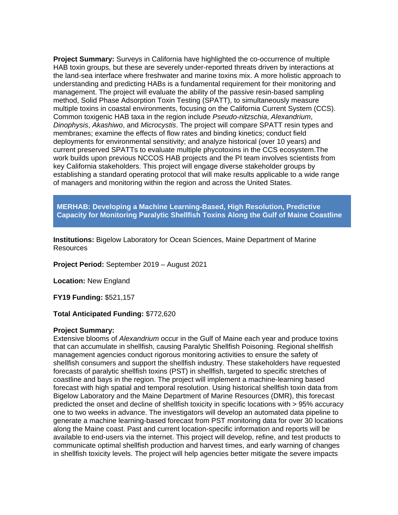**Project Summary:** Surveys in California have highlighted the co-occurrence of multiple HAB toxin groups, but these are severely under-reported threats driven by interactions at the land-sea interface where freshwater and marine toxins mix. A more holistic approach to understanding and predicting HABs is a fundamental requirement for their monitoring and management. The project will evaluate the ability of the passive resin-based sampling method, Solid Phase Adsorption Toxin Testing (SPATT), to simultaneously measure multiple toxins in coastal environments, focusing on the California Current System (CCS). Common toxigenic HAB taxa in the region include *Pseudo-nitzschia*, *Alexandrium*, *Dinophysis*, *Akashiwo*, and *Microcystis*. The project will compare SPATT resin types and membranes; examine the effects of flow rates and binding kinetics; conduct field deployments for environmental sensitivity; and analyze historical (over 10 years) and current preserved SPATTs to evaluate multiple phycotoxins in the CCS ecosystem.The work builds upon previous NCCOS HAB projects and the PI team involves scientists from key California stakeholders. This project will engage diverse stakeholder groups by establishing a standard operating protocol that will make results applicable to a wide range of managers and monitoring within the region and across the United States.

**MERHAB: Developing a Machine Learning-Based, High Resolution, Predictive Capacity for Monitoring Paralytic Shellfish Toxins Along the Gulf of Maine Coastline**

**Institutions:** Bigelow Laboratory for Ocean Sciences, Maine Department of Marine **Resources** 

**Project Period:** September 2019 – August 2021

**Location:** New England

**FY19 Funding:** \$521,157

**Total Anticipated Funding:** \$772,620

#### **Project Summary:**

Extensive blooms of *Alexandrium* occur in the Gulf of Maine each year and produce toxins that can accumulate in shellfish, causing Paralytic Shellfish Poisoning. Regional shellfish management agencies conduct rigorous monitoring activities to ensure the safety of shellfish consumers and support the shellfish industry. These stakeholders have requested forecasts of paralytic shellfish toxins (PST) in shellfish, targeted to specific stretches of coastline and bays in the region. The project will implement a machine-learning based forecast with high spatial and temporal resolution. Using historical shellfish toxin data from Bigelow Laboratory and the Maine Department of Marine Resources (DMR), this forecast predicted the onset and decline of shellfish toxicity in specific locations with > 95% accuracy one to two weeks in advance. The investigators will develop an automated data pipeline to generate a machine learning-based forecast from PST monitoring data for over 30 locations along the Maine coast. Past and current location-specific information and reports will be available to end-users via the internet. This project will develop, refine, and test products to communicate optimal shellfish production and harvest times, and early warning of changes in shellfish toxicity levels. The project will help agencies better mitigate the severe impacts